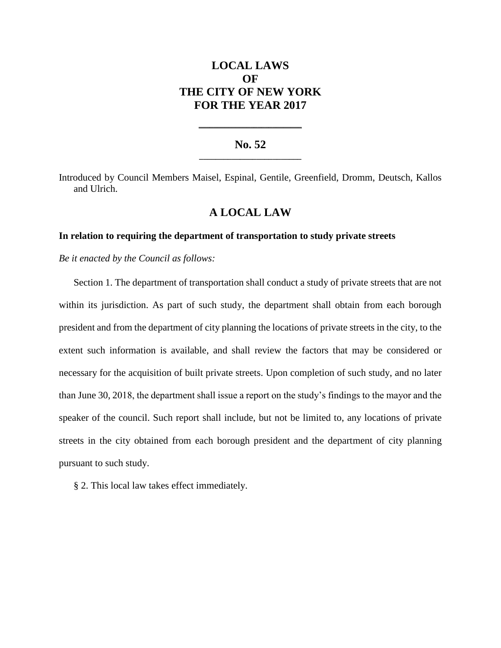# **LOCAL LAWS OF THE CITY OF NEW YORK FOR THE YEAR 2017**

### **No. 52 \_\_\_\_\_\_\_\_\_\_\_\_\_\_\_\_\_\_\_\_\_\_\_\_\_**

**\_\_\_\_\_\_\_\_\_\_\_\_\_\_\_\_\_\_\_\_\_\_\_\_\_\_\_\_**

Introduced by Council Members Maisel, Espinal, Gentile, Greenfield, Dromm, Deutsch, Kallos and Ulrich.

## **A LOCAL LAW**

#### **In relation to requiring the department of transportation to study private streets**

*Be it enacted by the Council as follows:*

Section 1. The department of transportation shall conduct a study of private streets that are not within its jurisdiction. As part of such study, the department shall obtain from each borough president and from the department of city planning the locations of private streets in the city, to the extent such information is available, and shall review the factors that may be considered or necessary for the acquisition of built private streets. Upon completion of such study, and no later than June 30, 2018, the department shall issue a report on the study's findings to the mayor and the speaker of the council. Such report shall include, but not be limited to, any locations of private streets in the city obtained from each borough president and the department of city planning pursuant to such study.

§ 2. This local law takes effect immediately.